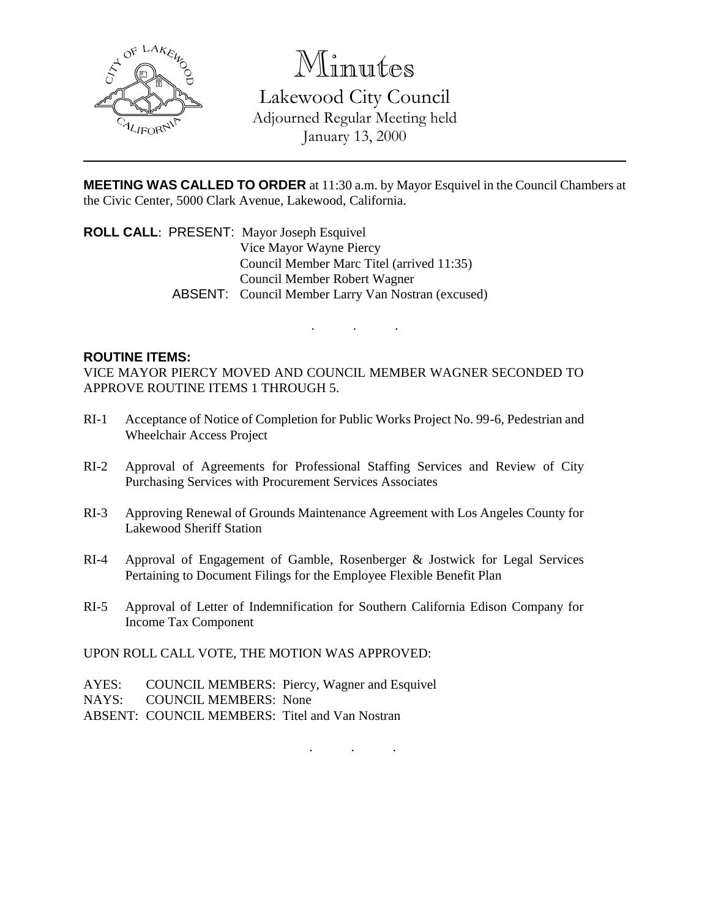

Minutes

Lakewood City Council Adjourned Regular Meeting held January 13, 2000

**MEETING WAS CALLED TO ORDER** at 11:30 a.m. by Mayor Esquivel in the Council Chambers at the Civic Center, 5000 Clark Avenue, Lakewood, California.

**ROLL CALL**: PRESENT: Mayor Joseph Esquivel Vice Mayor Wayne Piercy Council Member Marc Titel (arrived 11:35) Council Member Robert Wagner ABSENT: Council Member Larry Van Nostran (excused)

## **ROUTINE ITEMS:**

VICE MAYOR PIERCY MOVED AND COUNCIL MEMBER WAGNER SECONDED TO APPROVE ROUTINE ITEMS 1 THROUGH 5.

 $\mathbf{r} = \mathbf{r} \cdot \mathbf{r}$ 

- RI-1 Acceptance of Notice of Completion for Public Works Project No. 99-6, Pedestrian and Wheelchair Access Project
- RI-2 Approval of Agreements for Professional Staffing Services and Review of City Purchasing Services with Procurement Services Associates
- RI-3 Approving Renewal of Grounds Maintenance Agreement with Los Angeles County for Lakewood Sheriff Station
- RI-4 Approval of Engagement of Gamble, Rosenberger & Jostwick for Legal Services Pertaining to Document Filings for the Employee Flexible Benefit Plan
- RI-5 Approval of Letter of Indemnification for Southern California Edison Company for Income Tax Component

UPON ROLL CALL VOTE, THE MOTION WAS APPROVED:

- AYES: COUNCIL MEMBERS: Piercy, Wagner and Esquivel
- NAYS: COUNCIL MEMBERS: None
- ABSENT: COUNCIL MEMBERS: Titel and Van Nostran

. . .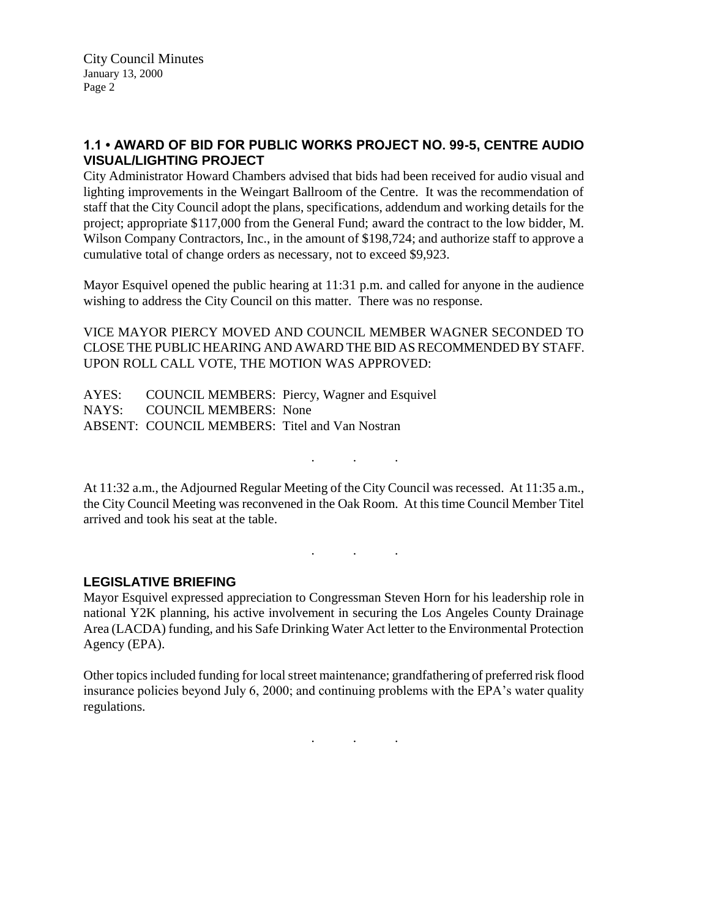## **1.1 • AWARD OF BID FOR PUBLIC WORKS PROJECT NO. 99-5, CENTRE AUDIO VISUAL/LIGHTING PROJECT**

City Administrator Howard Chambers advised that bids had been received for audio visual and lighting improvements in the Weingart Ballroom of the Centre. It was the recommendation of staff that the City Council adopt the plans, specifications, addendum and working details for the project; appropriate \$117,000 from the General Fund; award the contract to the low bidder, M. Wilson Company Contractors, Inc., in the amount of \$198,724; and authorize staff to approve a cumulative total of change orders as necessary, not to exceed \$9,923.

Mayor Esquivel opened the public hearing at 11:31 p.m. and called for anyone in the audience wishing to address the City Council on this matter. There was no response.

VICE MAYOR PIERCY MOVED AND COUNCIL MEMBER WAGNER SECONDED TO CLOSE THE PUBLIC HEARING AND AWARD THE BID AS RECOMMENDED BY STAFF. UPON ROLL CALL VOTE, THE MOTION WAS APPROVED:

AYES: COUNCIL MEMBERS: Piercy, Wagner and Esquivel NAYS: COUNCIL MEMBERS: None ABSENT: COUNCIL MEMBERS: Titel and Van Nostran

At 11:32 a.m., the Adjourned Regular Meeting of the City Council was recessed. At 11:35 a.m., the City Council Meeting was reconvened in the Oak Room. At this time Council Member Titel arrived and took his seat at the table.

. . .

. . .

## **LEGISLATIVE BRIEFING**

Mayor Esquivel expressed appreciation to Congressman Steven Horn for his leadership role in national Y2K planning, his active involvement in securing the Los Angeles County Drainage Area (LACDA) funding, and his Safe Drinking Water Act letter to the Environmental Protection Agency (EPA).

Other topics included funding for local street maintenance; grandfathering of preferred risk flood insurance policies beyond July 6, 2000; and continuing problems with the EPA's water quality regulations.

. . .